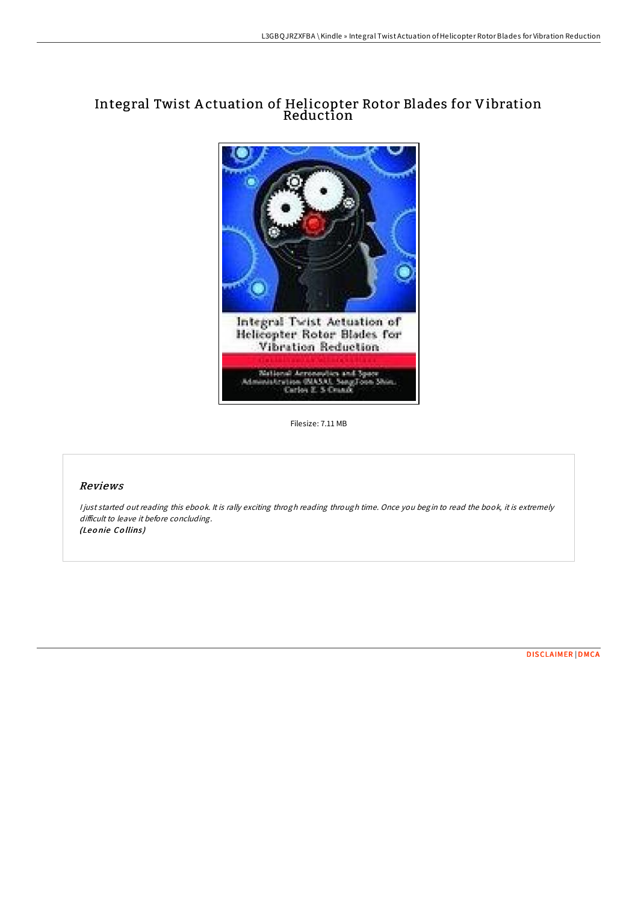# Integral Twist A ctuation of Helicopter Rotor Blades for Vibration Reduction



Filesize: 7.11 MB

## Reviews

I just started out reading this ebook. It is rally exciting throgh reading through time. Once you begin to read the book, it is extremely difficult to leave it before concluding. (Leonie Collins)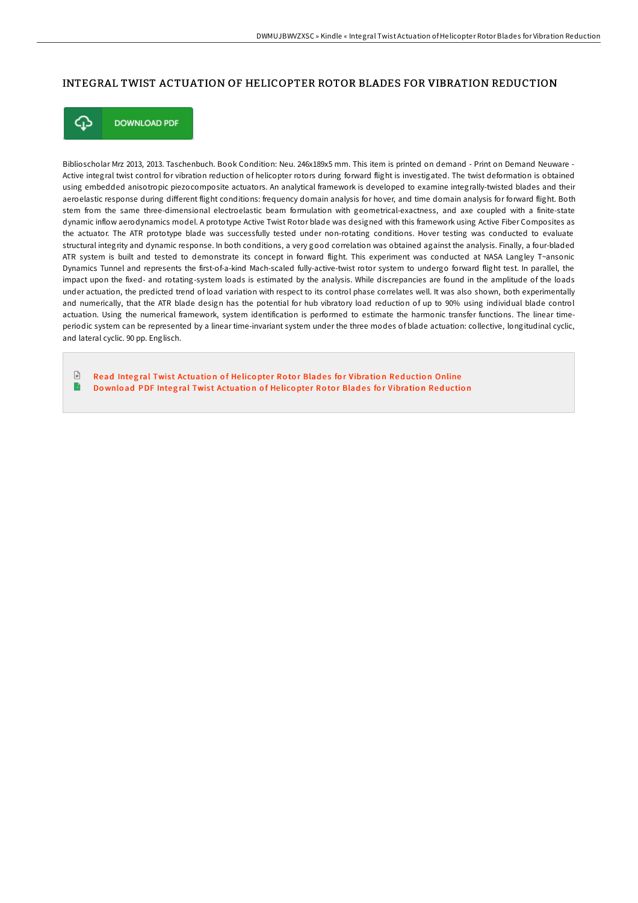## INTEGRAL TWIST ACTUATION OF HELICOPTER ROTOR BLADES FOR VIBRATION REDUCTION



**DOWNLOAD PDF** 

Biblioscholar Mrz 2013, 2013. Taschenbuch. Book Condition: Neu. 246x189x5 mm. This item is printed on demand - Print on Demand Neuware - Active integral twist control for vibration reduction of helicopter rotors during forward flight is investigated. The twist deformation is obtained using embedded anisotropic piezocomposite actuators. An analytical framework is developed to examine integrally-twisted blades and their aeroelastic response during different flight conditions: frequency domain analysis for hover, and time domain analysis for forward flight. Both stem from the same three-dimensional electroelastic beam formulation with geometrical-exactness, and axe coupled with a finite-state dynamic inflow aerodynamics model. A prototype Active Twist Rotor blade was designed with this framework using Active Fiber Composites as the actuator. The ATR prototype blade was successfully tested under non-rotating conditions. Hover testing was conducted to evaluate structural integrity and dynamic response. In both conditions, a very good correlation was obtained against the analysis. Finally, a four-bladed ATR system is built and tested to demonstrate its concept in forward flight. This experiment was conducted at NASA Langley T~ansonic Dynamics Tunnel and represents the first-of-a-kind Mach-scaled fully-active-twist rotor system to undergo forward flight test. In parallel, the impact upon the fixed- and rotating-system loads is estimated by the analysis. While discrepancies are found in the amplitude of the loads under actuation, the predicted trend of load variation with respect to its control phase correlates well. It was also shown, both experimentally and numerically, that the ATR blade design has the potential for hub vibratory load reduction of up to 90% using individual blade control actuation. Using the numerical framework, system identification is performed to estimate the harmonic transfer functions. The linear timeperiodic system can be represented by a linear time-invariant system under the three modes of blade actuation: collective, longitudinal cyclic, and lateral cyclic. 90 pp. Englisch.

€ Read Integral Twist [Actuatio](http://almighty24.tech/integral-twist-actuation-of-helicopter-rotor-bla.html)n of Helicopter Rotor Blades for Vibration Reduction Online B Download PDF Integral Twist [Actuatio](http://almighty24.tech/integral-twist-actuation-of-helicopter-rotor-bla.html)n of Helicopter Rotor Blades for Vibration Reduction